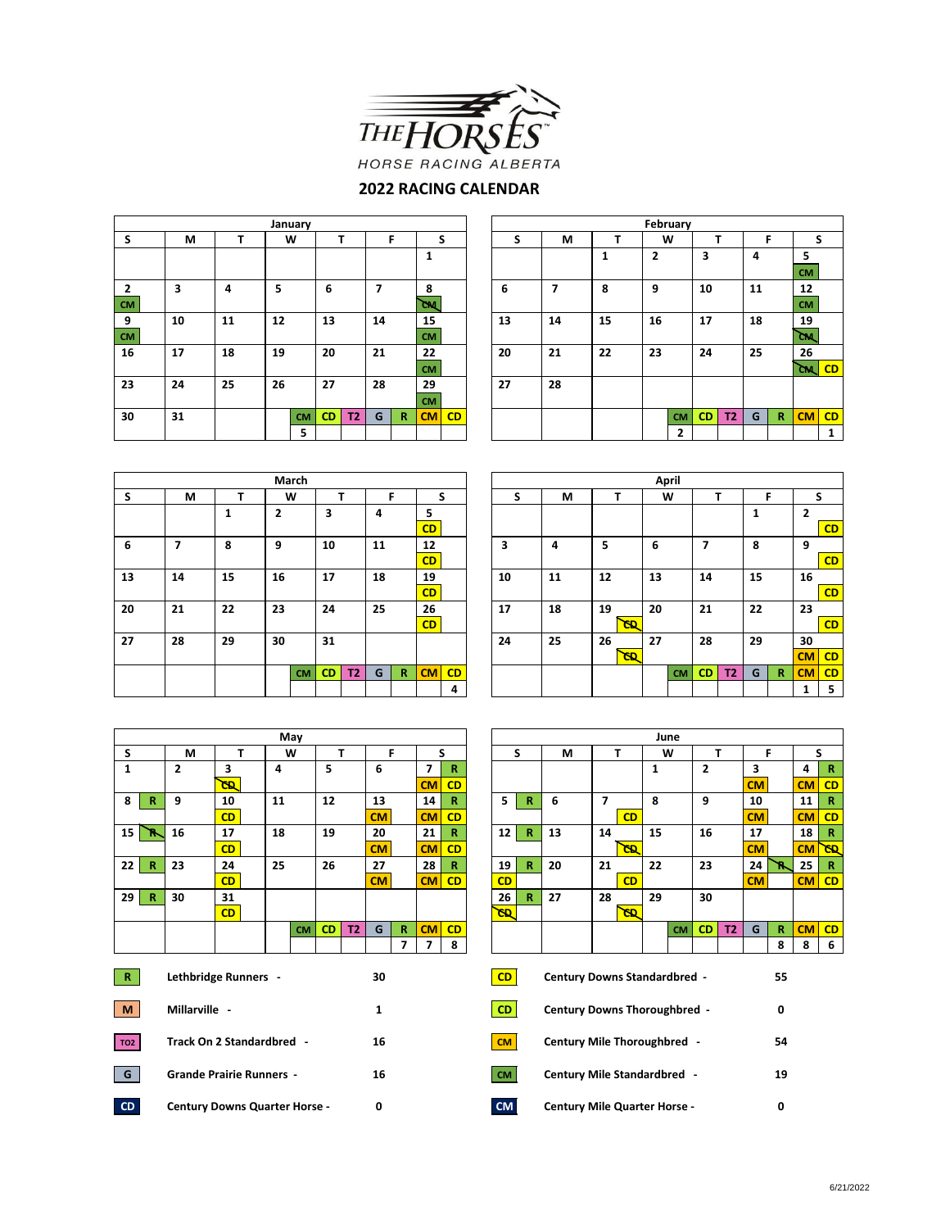

## **2022 RACING CALENDAR**

|                |    |    |    | January   |           |    |    |              |           |    |    |    |    |    | February  |           |     |    |              |                     |   |
|----------------|----|----|----|-----------|-----------|----|----|--------------|-----------|----|----|----|----|----|-----------|-----------|-----|----|--------------|---------------------|---|
| S              | М  |    |    | W         |           |    |    |              |           | S  | S  | М  |    |    | W         |           |     | F  |              |                     | S |
|                |    |    |    |           |           |    |    |              |           |    |    |    |    | 2  |           | 3         |     | 4  |              | 5                   |   |
|                |    |    |    |           |           |    |    |              |           |    |    |    |    |    |           |           |     |    |              | <b>CM</b>           |   |
| $\overline{2}$ | 3  | 4  | 5  |           | 6         |    | 7  |              | 8         |    | 6  | 7  | 8  | 9  |           | 10        |     | 11 |              | 12                  |   |
| <b>CM</b>      |    |    |    |           |           |    |    |              | <b>CM</b> |    |    |    |    |    |           |           |     |    |              | <b>CM</b>           |   |
| 9              | 10 | 11 | 12 |           | 13        |    | 14 |              | 15        |    | 13 | 14 | 15 | 16 |           | 17        |     | 18 |              | 19                  |   |
| <b>CM</b>      |    |    |    |           |           |    |    | <b>CM</b>    |           |    |    |    |    |    |           |           |     |    |              | <b>CM</b>           |   |
| 16             | 17 | 18 | 19 |           | 20        |    | 21 |              | 22        |    | 20 | 21 | 22 | 23 |           | 24        |     | 25 |              | 26                  |   |
|                |    |    |    |           |           |    |    |              | <b>CM</b> |    |    |    |    |    |           |           |     |    |              | `ଲା <mark>CD</mark> |   |
| 23             | 24 | 25 | 26 |           | 27        |    | 28 |              | 29        |    | 27 | 28 |    |    |           |           |     |    |              |                     |   |
|                |    |    |    |           |           |    |    |              | <b>CM</b> |    |    |    |    |    |           |           |     |    |              |                     |   |
| 30             | 31 |    |    | <b>CM</b> | <b>CD</b> | T2 | G  | $\mathbb{R}$ | CM        | CD |    |    |    |    | <b>CM</b> | <b>CD</b> | T2\ | G  | $\mathbb{R}$ | $CM$ CD             |   |
|                |    |    |    | 5         |           |    |    |              |           |    |    |    |    |    | 2         |           |     |    |              |                     | 1 |

| ıuary     |           |           | F<br>S                   |              |           |    |    |                          |    |    | February     |           |                |    |             |           |              |
|-----------|-----------|-----------|--------------------------|--------------|-----------|----|----|--------------------------|----|----|--------------|-----------|----------------|----|-------------|-----------|--------------|
| W         | т         |           |                          |              |           |    | S  | М                        | т  |    | W            |           | т              |    | F           | S         |              |
|           |           |           |                          |              | 1         |    |    |                          | 1  | 2  |              | 3         |                | 4  |             | 5         |              |
|           |           |           |                          |              |           |    |    |                          |    |    |              |           |                |    |             | <b>CM</b> |              |
|           | 6         |           | $\overline{\phantom{a}}$ |              | 8         |    | 6  | $\overline{\phantom{a}}$ | 8  | 9  |              | 10        |                | 11 |             | 12        |              |
|           |           |           |                          |              | čм        |    |    |                          |    |    |              |           |                |    |             | <b>CM</b> |              |
|           | 13        |           | 14                       |              | 15        |    | 13 | 14                       | 15 | 16 |              | 17        |                | 18 |             | 19        |              |
|           |           |           |                          |              | <b>CM</b> |    |    |                          |    |    |              |           |                |    |             | CM.       |              |
|           | 20        |           | 21                       |              | 22        |    | 20 | 21                       | 22 | 23 |              | 24        |                | 25 |             | 26        |              |
|           |           |           |                          |              | <b>CM</b> |    |    |                          |    |    |              |           |                |    |             | ัดน I     | CD           |
|           | 27        |           | 28                       |              | 29        |    | 27 | 28                       |    |    |              |           |                |    |             |           |              |
|           |           |           |                          |              | <b>CM</b> |    |    |                          |    |    |              |           |                |    |             |           |              |
| <b>CM</b> | <b>CD</b> | <b>T2</b> | G                        | $\mathbb{R}$ | CM        | CD |    |                          |    |    | <b>CM</b>    | <b>CD</b> | T <sub>2</sub> | G  | $\mathbf R$ | CM        | <b>CD</b>    |
| 5         |           |           |                          |              |           |    |    |                          |    |    | $\mathbf{2}$ |           |                |    |             |           | $\mathbf{1}$ |

|    |    |    |                |           |           |           |    |              | April     |    |    |    |    |           |    |           |           |    |    |              |                |
|----|----|----|----------------|-----------|-----------|-----------|----|--------------|-----------|----|----|----|----|-----------|----|-----------|-----------|----|----|--------------|----------------|
|    |    |    |                | March     |           |           |    |              |           |    |    |    |    |           |    |           |           |    |    |              |                |
| S  | М  | T  |                | W         |           | ÷         |    | F            |           | S  | S  | М  |    | Ŧ         |    | W         |           | T  |    | F            |                |
|    |    | 1  | $\overline{2}$ |           | 3         |           | 4  |              | 5         |    |    |    |    |           |    |           |           |    | 1  |              | $\overline{2}$ |
|    |    |    |                |           |           |           |    |              | CD        |    |    |    |    |           |    |           |           |    |    |              |                |
| 6  | 7  | 8  | 9              |           | 10        |           | 11 |              | 12        |    | 3  | 4  | 5  |           | 6  |           | 7         |    | 8  |              | 9              |
|    |    |    |                |           |           |           |    |              | <b>CD</b> |    |    |    |    |           |    |           |           |    |    |              |                |
| 13 | 14 | 15 | 16             |           | 17        |           | 18 |              | 19        |    | 10 | 11 | 12 |           | 13 |           | 14        |    | 15 |              | 16             |
|    |    |    |                |           |           |           |    |              | CD        |    |    |    |    |           |    |           |           |    |    |              |                |
| 20 | 21 | 22 | 23             |           | 24        |           | 25 |              | 26        |    | 17 | 18 | 19 |           | 20 |           | 21        |    | 22 |              | 23             |
|    |    |    |                |           |           |           |    |              | CD        |    |    |    |    | <b>CD</b> |    |           |           |    |    |              |                |
| 27 | 28 | 29 | 30             |           | 31        |           |    |              |           |    | 24 | 25 | 26 |           | 27 |           | 28        |    | 29 |              | 30             |
|    |    |    |                |           |           |           |    |              |           |    |    |    |    | GD.       |    |           |           |    |    |              | <b>CM</b>      |
|    |    |    |                | <b>CM</b> | <b>CD</b> | <b>T2</b> | G  | $\mathbb{R}$ | CM        | CD |    |    |    |           |    | <b>CM</b> | <b>CD</b> | T2 | G  | $\mathbb{R}$ | <b>CM</b>      |
|    |    |    |                |           |           |           |    |              |           | 4  |    |    |    |           |    |           |           |    |    |              | 1              |

|   |    |    | March     |           |    |    |              |    |    |    |    |     |    | April     |           |           |    |             |                |    |
|---|----|----|-----------|-----------|----|----|--------------|----|----|----|----|-----|----|-----------|-----------|-----------|----|-------------|----------------|----|
| M |    |    | W         |           | т  |    | F            | S  |    | S  | М  |     |    | W         | т         |           | F  |             | S              |    |
|   | 1  | 2  |           | 3         |    | 4  |              | 5  |    |    |    |     |    |           |           |           | 1  |             | $\overline{2}$ |    |
|   |    |    |           |           |    |    |              | CD |    |    |    |     |    |           |           |           |    |             |                | CD |
|   | 8  | 9  |           | 10        |    | 11 |              | 12 |    | 3  | 4  | 5   | 6  |           | 7         |           | 8  |             | 9              |    |
|   |    |    |           |           |    |    |              | CD |    |    |    |     |    |           |           |           |    |             |                | CD |
|   | 15 | 16 |           | 17        |    | 18 |              | 19 |    | 10 | 11 | 12  | 13 |           | 14        |           | 15 |             | 16             |    |
|   |    |    |           |           |    |    |              | CD |    |    |    |     |    |           |           |           |    |             |                | CD |
|   | 22 | 23 |           | 24        |    | 25 |              | 26 |    | 17 | 18 | 19  | 20 |           | 21        |           | 22 |             | 23             |    |
|   |    |    |           |           |    |    |              | CD |    |    |    | GD. |    |           |           |           |    |             |                | CD |
|   | 29 | 30 |           | 31        |    |    |              |    |    | 24 | 25 | 26  | 27 |           | 28        |           | 29 |             | 30             |    |
|   |    |    |           |           |    |    |              |    |    |    |    | GD. |    |           |           |           |    |             | CM             | CD |
|   |    |    | <b>CM</b> | <b>CD</b> | T2 | G  | $\mathbb{R}$ | CM | CD |    |    |     |    | <b>CM</b> | <b>CD</b> | <b>T2</b> | G  | $\mathbf R$ | <b>CM</b>      | CD |
|   |    |    |           |           |    |    |              |    | 4  |    |    |     |    |           |           |           |    |             | 1              | 5  |

|                 |              |                                       |           |    | May       |           |           |           |                |                                     |           |           |              |                                     |                |           |              | June      |                |           |           |              |           |                |
|-----------------|--------------|---------------------------------------|-----------|----|-----------|-----------|-----------|-----------|----------------|-------------------------------------|-----------|-----------|--------------|-------------------------------------|----------------|-----------|--------------|-----------|----------------|-----------|-----------|--------------|-----------|----------------|
| S               |              | М                                     | т         |    | W         |           | т         |           | F              |                                     | S         |           | S            | М                                   |                | т         |              | W         |                | T         |           | F            |           | S              |
| $\mathbf{1}$    |              | $\overline{2}$                        | 3         | 4  |           | 5         |           | 6         |                | $\overline{\phantom{a}}$            | R         |           |              |                                     |                |           | $\mathbf{1}$ |           | $\overline{2}$ |           | 3         |              | 4         | R              |
|                 |              |                                       | <b>GD</b> |    |           |           |           |           |                | CM                                  | <b>CD</b> |           |              |                                     |                |           |              |           |                |           | <b>CM</b> |              | CM        | C1             |
| 8               | $\mathbb{R}$ | 9                                     | 10        | 11 |           | 12        |           | 13        |                | 14                                  | R         | 5         | $\mathbb{R}$ | 6                                   | $\overline{7}$ |           | 8            |           | 9              |           | 10        |              | 11        | R              |
|                 |              |                                       | CD        |    |           |           |           | CM        |                | <b>CM</b>                           | <b>CD</b> |           |              |                                     |                | CD        |              |           |                |           | <b>CM</b> |              | CM        | $\overline{c}$ |
| 15 <sup>1</sup> | - R          | 16                                    | 17        | 18 |           | 19        |           | 20        |                | 21                                  | R         | 12        | $\mathbb{R}$ | 13                                  | 14             |           | 15           |           | 16             |           | 17        |              | 18        | R              |
|                 |              |                                       | CD        |    |           |           |           | <b>CM</b> |                | <b>CM</b>                           | <b>CD</b> |           |              |                                     |                | <b>CD</b> |              |           |                |           | <b>CM</b> |              | <b>CM</b> | খ              |
| 22 <sub>1</sub> | R            | 23                                    | 24        | 25 |           | 26        |           | 27        |                | 28                                  | R         | 19        | $\mathbb{R}$ | 20                                  | 21             |           | 22           |           | 23             |           | 24        | R.           | 25        | R              |
|                 |              |                                       | CD        |    |           |           |           | CM        |                | <b>CM</b>                           | CD        | CD        |              |                                     |                | CD        |              |           |                |           | <b>CM</b> |              | CM        | $CI$           |
| 29 <sub>1</sub> | $\mathbb{R}$ | 30                                    | 31        |    |           |           |           |           |                |                                     |           | 26        | $\mathbb{R}$ | 27                                  | 28             |           | 29           |           | 30             |           |           |              |           |                |
|                 |              |                                       | CD        |    |           |           |           |           |                |                                     |           | <b>GD</b> |              |                                     |                | <b>GD</b> |              |           |                |           |           |              |           |                |
|                 |              |                                       |           |    | <b>CM</b> | <b>CD</b> | <b>T2</b> | G         | $\mathbb{R}$   | <b>CM</b>                           | CD        |           |              |                                     |                |           |              | <b>CM</b> | <b>CD</b>      | <b>T2</b> | G         | $\mathbb{R}$ | CM        | C1             |
|                 |              |                                       |           |    |           |           |           |           | $\overline{7}$ | 7                                   | 8         |           |              |                                     |                |           |              |           |                |           |           | 8            | 8         | -6             |
| R               |              |                                       |           |    |           |           |           | 30        |                |                                     |           | CD        |              | <b>Century Downs Standardbred -</b> |                |           |              |           |                |           |           | 55           |           |                |
| <b>M</b>        |              | Lethbridge Runners -<br>Millarville - |           |    |           |           |           | 1         |                |                                     |           | CD        |              | <b>Century Downs Thoroughbred -</b> |                |           |              |           |                |           |           | 0            |           |                |
| TO <sub>2</sub> |              | Track On 2 Standardbred -             |           |    |           |           |           | 16        |                |                                     |           | CM        |              | <b>Century Mile Thoroughbred -</b>  |                |           |              |           |                |           |           | 54           |           |                |
| G               |              | <b>Grande Prairie Runners -</b>       |           |    |           |           |           | 16        |                |                                     |           | <b>CM</b> |              | <b>Century Mile Standardbred -</b>  |                |           |              |           |                |           |           | 19           |           |                |
| CD              |              | <b>Century Downs Quarter Horse -</b>  |           | 0  |           |           |           | <b>CM</b> |                | <b>Century Mile Quarter Horse -</b> |           |           |              |                                     |                |           |              | 0         |                |           |           |              |           |                |

|             |                         |    | May       |           |           |    |              |                          |              |                 |              |                                     |    |           |    | June      |                |           |           |              |           |           |
|-------------|-------------------------|----|-----------|-----------|-----------|----|--------------|--------------------------|--------------|-----------------|--------------|-------------------------------------|----|-----------|----|-----------|----------------|-----------|-----------|--------------|-----------|-----------|
| M           | т                       |    | W         | т         |           | F  |              | S                        |              | S               |              | М                                   |    | т         | W  |           | т              |           | F         |              | S         |           |
|             | 3                       | 4  |           | 5         |           | 6  |              | 7                        | $\mathbb{R}$ |                 |              |                                     |    |           | 1  |           | $\overline{2}$ |           | 3         |              | 4         | R         |
|             | <u>R5</u>               |    |           |           |           |    |              | <b>CM</b>                | CD           |                 |              |                                     |    |           |    |           |                |           | <b>CM</b> |              | <b>CM</b> | CD        |
|             | 10                      | 11 |           | 12        |           | 13 |              | 14                       | R            | 5               | $\mathbb{R}$ | 6                                   | 7  |           | 8  |           | 9              |           | 10        |              | 11        | R         |
|             | CD                      |    |           |           |           | CM |              | CM                       | CD           |                 |              |                                     |    | CD        |    |           |                |           | <b>CM</b> |              | CM        | CD        |
|             | 17                      | 18 |           | 19        |           | 20 |              | 21                       | $\mathbb{R}$ | 12 <sup>1</sup> | R            | 13                                  | 14 |           | 15 |           | 16             |           | 17        |              | 18        | R         |
|             | CD                      |    |           |           |           | CM |              | CM                       | <b>CD</b>    |                 |              |                                     |    | <b>GD</b> |    |           |                |           | <b>CM</b> |              | CM        | <b>GD</b> |
|             | 24                      | 25 |           | 26        |           | 27 |              | 28                       | $\mathbb{R}$ | 19              | $\mathbb{R}$ | 20                                  | 21 |           | 22 |           | 23             |           | 24        | ÷            | 25        | R         |
|             | CD                      |    |           |           |           | CM |              | CM                       | CD           | CD              |              |                                     |    | CD        |    |           |                |           | <b>CM</b> |              | CM        | CD        |
|             | 31                      |    |           |           |           |    |              |                          |              | 26              | R.           | 27                                  | 28 |           | 29 |           | 30             |           |           |              |           |           |
|             | CD                      |    |           |           |           |    |              |                          |              | <u>R5</u>       |              |                                     |    | স্ত       |    |           |                |           |           |              |           |           |
|             |                         |    | <b>CM</b> | <b>CD</b> | <b>T2</b> | G  | $\mathbb{R}$ | <b>CM</b>                | CD           |                 |              |                                     |    |           |    | <b>CM</b> | <b>CD</b>      | <b>T2</b> | G         | $\mathbb{R}$ | CM        | CD        |
|             |                         |    |           |           |           |    | 7            | $\overline{\phantom{a}}$ | 8            |                 |              |                                     |    |           |    |           |                |           |           | 8            | 8         | 6         |
|             | hbridge Runners -<br>30 |    |           |           |           |    |              |                          |              | CD              |              | <b>Century Downs Standardbred -</b> |    |           |    |           |                |           |           | 55           |           |           |
| المالك وسما | $\blacksquare$          |    |           |           |           |    |              |                          |              | <b>CD</b>       |              | Continue Dommo Thompsonlinead       |    |           |    |           |                |           |           | $\sim$       |           |           |

| .   | CCITCOLY DOWNS THOLOGRIBICG         |    |
|-----|-------------------------------------|----|
| M   | <b>Century Mile Thoroughbred -</b>  | 54 |
| M l | <b>Century Mile Standardbred -</b>  | 19 |
| M.  | <b>Century Mile Quarter Horse -</b> |    |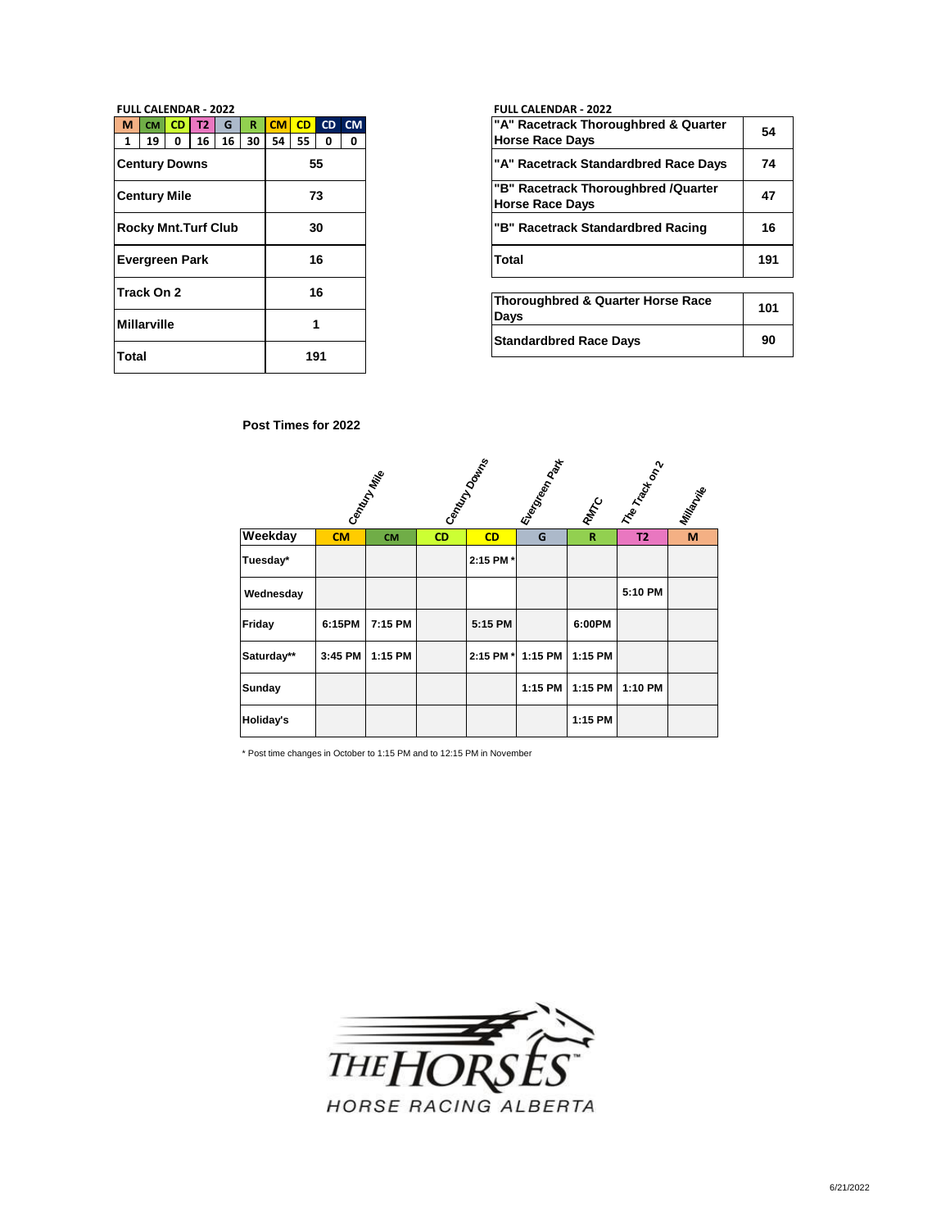| M            | <b>CM</b>          | <b>CD</b>                  | <b>T2</b> | G  | R  | <b>CM</b> | CD  | <b>CD</b> | <b>CM</b> |
|--------------|--------------------|----------------------------|-----------|----|----|-----------|-----|-----------|-----------|
| 1            | 19                 | 0                          | 16        | 16 | 30 | 54        | 55  | 0         | 0         |
|              |                    | <b>Century Downs</b>       |           |    |    |           | 55  |           |           |
|              |                    | <b>Century Mile</b>        |           |    |    |           | 73  |           |           |
|              |                    | <b>Rocky Mnt.Turf Club</b> |           |    | 30 |           |     |           |           |
|              |                    | <b>Evergreen Park</b>      |           |    |    |           |     | 16        |           |
|              | Track On 2         |                            |           |    |    |           |     | 16        |           |
|              | <b>Millarville</b> |                            |           |    |    |           |     |           |           |
| <b>Total</b> |                    |                            |           |    |    |           | 191 |           |           |

### **FULL CALENDAR - 2022 FULL CALENDAR - 2022**

| <b>CM</b><br>19 | CD.<br>$\Omega$      | Т2<br>16                   | G<br>16 | 30 | CM.<br>54 | <b>CD</b><br>55 | $\Omega$ | $CD$ CM |
|-----------------|----------------------|----------------------------|---------|----|-----------|-----------------|----------|---------|
|                 | <b>Century Downs</b> |                            |         |    |           |                 | 55       |         |
|                 | Century Mile         |                            |         |    |           | 73              |          |         |
|                 |                      | <b>Rocky Mnt.Turf Club</b> |         |    |           |                 | 30       |         |
|                 | Evergreen Park       |                            |         |    |           |                 | 16       |         |
| Track On 2      |                      |                            |         |    |           | 16              |          |         |

| Thoroughbred & Quarter Horse Race<br>Days | 101 |
|-------------------------------------------|-----|
| <b>Standardbred Race Days</b>             | 90  |

### **Post Times for 2022**

|            |         | Century Miles |           | Candy Downs | I Everyon Max | RMATC       | I The Track on 2 | Millignesia |
|------------|---------|---------------|-----------|-------------|---------------|-------------|------------------|-------------|
| Weekday    | CM      | <b>CM</b>     | <b>CD</b> | CD          | G             | $\mathbf R$ | <b>T2</b>        | M           |
| Tuesday*   |         |               |           | 2:15 PM *   |               |             |                  |             |
| Wednesday  |         |               |           |             |               |             | 5:10 PM          |             |
| Friday     | 6:15PM  | 7:15 PM       |           | 5:15 PM     |               | 6:00PM      |                  |             |
| Saturday** | 3:45 PM | 1:15 PM       |           | 2:15 PM *   | 1:15 PM       | 1:15 PM     |                  |             |
| Sunday     |         |               |           |             | 1:15 PM       | 1:15 PM     | 1:10 PM          |             |
| Holiday's  |         |               |           |             |               | 1:15 PM     |                  |             |

\* Post time changes in October to 1:15 PM and to 12:15 PM in November

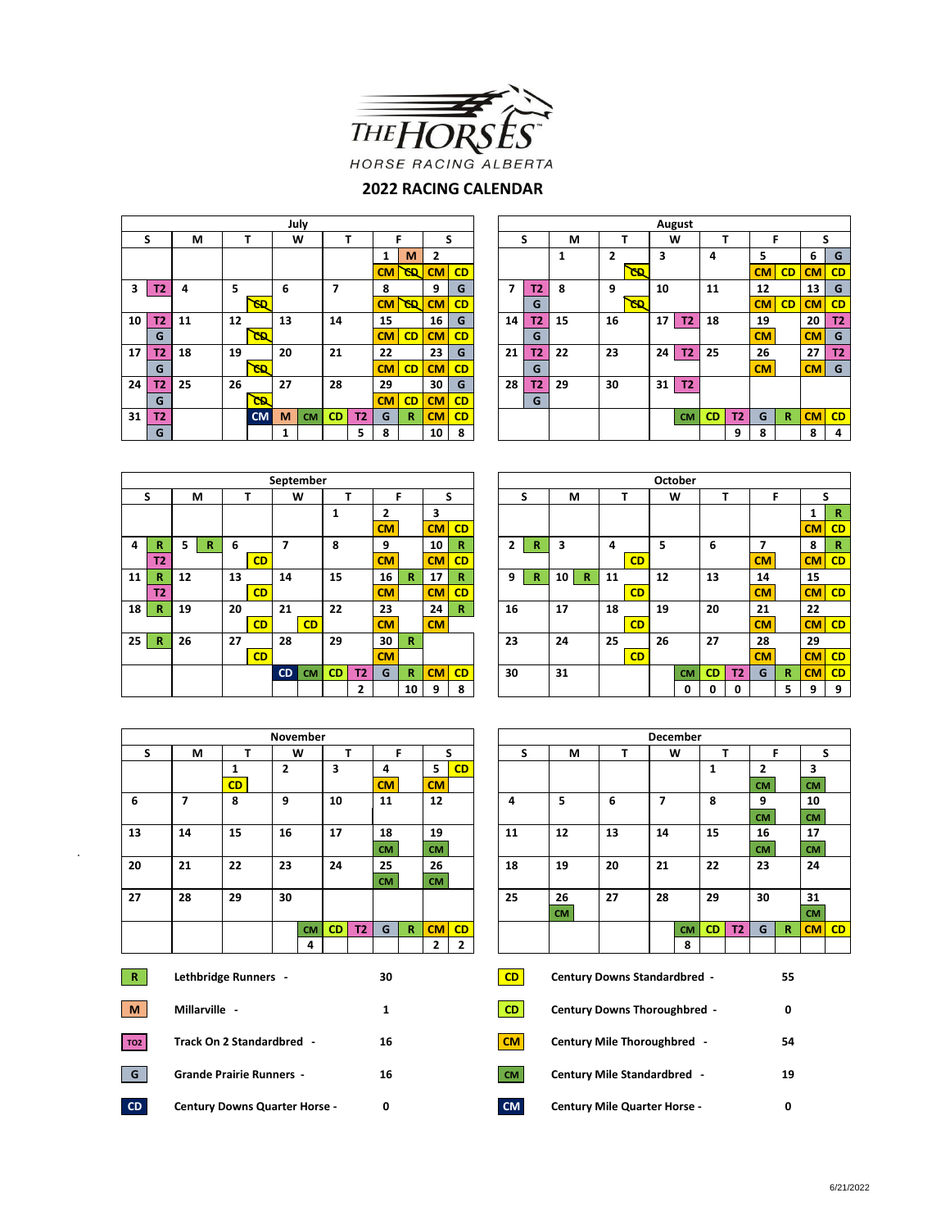

## **2022 RACING CALENDAR**

|    |                |    |    |           |    | July      |                |                |           |           |           |    |    |           |    |    |     |    | August         |           |           |           |              |           |           |
|----|----------------|----|----|-----------|----|-----------|----------------|----------------|-----------|-----------|-----------|----|----|-----------|----|----|-----|----|----------------|-----------|-----------|-----------|--------------|-----------|-----------|
|    | S              | M  |    |           |    | W         |                |                |           | F         |           | S  |    | S         | М  | T  |     |    | W              |           | ┳         | Е         |              | S         |           |
|    |                |    |    |           |    |           |                |                |           | M         | 2         |    |    |           | 1  | 2  |     | 3  |                | 4         |           | 5         |              | 6         | G         |
|    |                |    |    |           |    |           |                |                | CM        | <b>GD</b> | CM        | CD |    |           |    |    | GD. |    |                |           |           | CMI       | CD           | <b>CM</b> | CD        |
| 3  | T2             | 4  | 5  |           | 6  |           | $\overline{ }$ |                | 8         |           | 9         | G  | 7  | <b>T2</b> | 8  | 9  |     | 10 |                | 11        |           | 12        |              | 13        | G         |
|    |                |    |    | <b>GD</b> |    |           |                |                | <b>CM</b> | <b>CD</b> | CM        | CD |    | G         |    |    | GB. |    |                |           |           | CMI       | CD           | <b>CM</b> | CD        |
| 10 | T2             | 11 | 12 |           | 13 |           | 14             |                | 15        |           | 16        | G  | 14 | T2        | 15 | 16 |     | 17 | T <sub>2</sub> | 18        |           | 19        |              | 20        | <b>T2</b> |
|    | G              |    |    | СB.       |    |           |                |                | CM        | CD        | <b>CM</b> | CD |    | G         |    |    |     |    |                |           |           | <b>CM</b> |              | CM        | G         |
| 17 | T2             | 18 | 19 |           | 20 |           | 21             |                | 22        |           | 23        | G  | 21 | T2        | 22 | 23 |     | 24 | <b>T2</b>      | 25        |           | 26        |              | 27        | T2        |
|    | G              |    |    | 93        |    |           |                |                | CM        | CD        | CM        | CD |    | G         |    |    |     |    |                |           |           | CM        |              | CM        | G         |
| 24 | T2             | 25 | 26 |           | 27 |           | 28             |                | 29        |           | 30        | G  | 28 | T2        | 29 | 30 |     | 31 | T2             |           |           |           |              |           |           |
|    | G              |    |    | চে        |    |           |                |                | CM        | CD        | CM        | CD |    | G         |    |    |     |    |                |           |           |           |              |           |           |
| 31 | T <sub>2</sub> |    |    | <b>CM</b> | M  | <b>CM</b> | <b>CD</b>      | T <sub>2</sub> | G         | R         | CM        | CD |    |           |    |    |     |    | <b>CM</b>      | <b>CD</b> | <b>T2</b> | G         | $\mathbb{R}$ | <b>CM</b> | CD        |
|    | G              |    |    |           |    |           |                | 5              | 8         |           | 10        | 8  |    |           |    |    |     |    |                |           | 9         | 8         |              | 8         | 4         |
|    |                |    |    |           |    |           |                |                |           |           |           |    |    |           |    |    |     |    |                |           |           |           |              |           |           |

|    | September    |    |   |        |    |           |           |           |    |                |    |    |    | October        |   |                    |    |           |    |           |           |                |           |   |           |
|----|--------------|----|---|--------|----|-----------|-----------|-----------|----|----------------|----|----|----|----------------|---|--------------------|----|-----------|----|-----------|-----------|----------------|-----------|---|-----------|
| S  |              | м  |   | W<br>T |    |           |           |           | Е  |                |    | S  |    | S              | М |                    |    |           | w  |           |           | F              |           |   |           |
|    |              |    |   |        |    |           |           |           |    | $\overline{2}$ |    | 3  |    |                |   |                    |    |           |    |           |           |                |           |   |           |
|    |              |    |   |        |    |           |           |           |    | <b>CM</b>      |    | CM | CD |                |   |                    |    |           |    |           |           |                |           |   | <b>CM</b> |
| 4  | R            | 5. | R | 6      |    | ⇁         |           | 8         |    | 9              |    | 10 | R  | $\overline{2}$ | R | 3                  | 4  |           | 5  |           | 6         |                |           |   | 8         |
|    | <b>T2</b>    |    |   |        | CD |           |           |           |    | CM             |    | CM | CD |                |   |                    |    | <b>CD</b> |    |           |           |                | CM        |   | <b>CM</b> |
| 11 | R            | 12 |   | 13     |    | 14        |           | 15        |    | 16             | R  | 17 | R  | 9              | R | $\mathbb{R}$<br>10 | 11 |           | 12 |           | 13        |                | 14        |   | 15        |
|    | <b>T2</b>    |    |   |        | CD |           |           |           |    | <b>CM</b>      |    | CM | CD |                |   |                    |    | <b>CD</b> |    |           |           |                | <b>CM</b> |   | <b>CM</b> |
| 18 | $\mathbb{R}$ | 19 |   | 20     |    | 21        |           | 22        |    | 23             |    | 24 | R  | 16             |   | 17                 | 18 |           | 19 |           | 20        |                | 21        |   | 22        |
|    |              |    |   |        | CD |           | CD        |           |    | <b>CM</b>      |    | CM |    |                |   |                    |    | <b>CD</b> |    |           |           |                | <b>CM</b> |   | <b>CM</b> |
| 25 | $\mathbf R$  | 26 |   | 27     |    | 28        |           | 29        |    | 30             | R  |    |    | 23             |   | 24                 | 25 |           | 26 |           | 27        |                | 28        |   | 29        |
|    |              |    |   |        | CD |           |           |           |    | <b>CM</b>      |    |    |    |                |   |                    |    | <b>CD</b> |    |           |           |                | <b>CM</b> |   | <b>CM</b> |
|    |              |    |   |        |    | <b>CD</b> | <b>CM</b> | <b>CD</b> | T2 | G              | R  | CM | CD | 30             |   | 31                 |    |           |    | <b>CM</b> | <b>CD</b> | T <sub>2</sub> | G         | R | <b>CM</b> |
|    |              |    |   |        |    |           |           |           | 2  |                | 10 | 9  | 8  |                |   |                    |    |           |    | 0         | 0         | 0              |           | 5 | 9         |

|                       | September    |    |   |    |           |           |           |           |                |           |              | October |    |    |   |                    |    |           |    |           |           |           |               |   |                 |    |
|-----------------------|--------------|----|---|----|-----------|-----------|-----------|-----------|----------------|-----------|--------------|---------|----|----|---|--------------------|----|-----------|----|-----------|-----------|-----------|---------------|---|-----------------|----|
| W<br>s<br>S<br>М<br>F |              |    |   |    |           |           |           |           |                |           | S            |         | М  |    |   | W                  |    |           |    | F         |           | S         |               |   |                 |    |
|                       |              |    |   |    |           |           |           |           |                |           |              |         |    |    |   |                    |    |           |    |           |           |           |               |   |                 |    |
|                       |              |    |   |    |           |           |           | ٠         |                | 2         |              | 3       |    |    |   |                    |    |           |    |           |           |           |               |   | $\mathbf{1}$    | R  |
|                       |              |    |   |    |           |           |           |           |                | <b>CM</b> |              | CM      | CD |    |   |                    |    |           |    |           |           |           |               |   | CM              | CD |
| 4                     | R            | 5  | R | 6  |           |           |           | 8         |                | 9         |              | 10      | R  | 2  | R | 3                  | 4  |           | 5  |           | 6         |           |               |   | 8               | R  |
|                       | T2           |    |   |    | CD        |           |           |           |                | <b>CM</b> |              | CM      | CD |    |   |                    |    | CD        |    |           |           |           | $\mathsf{CM}$ |   | CM              | CD |
| .1                    | R            | 12 |   | 13 |           | 14        |           | 15        |                | 16        | R            | 17      | R  | 9  | R | $\mathbb{R}$<br>10 | 11 |           | 12 |           | 13        |           | 14            |   | 15              |    |
|                       | T2           |    |   |    | CD        |           |           |           |                | CM        |              | CM      | CD |    |   |                    |    | <b>CD</b> |    |           |           |           | CM            |   | CMI             | CD |
| L8.                   | R            | 19 |   | 20 |           | 21        |           | 22        |                | 23        |              | 24      | R  | 16 |   | 17                 | 18 |           | 19 |           | 20        |           | 21            |   | 22              |    |
|                       |              |    |   |    | <b>CD</b> |           | <b>CD</b> |           |                | <b>CM</b> |              | CM      |    |    |   |                    |    | CD        |    |           |           |           | CM            |   | CM <sub>l</sub> | CD |
| 25 I                  | $\mathbb{R}$ | 26 |   | 27 |           | 28        |           | 29        |                | 30        | $\mathbb{R}$ |         |    | 23 |   | 24                 | 25 |           | 26 |           | 27        |           | 28            |   | 29              |    |
|                       |              |    |   |    | <b>CD</b> |           |           |           |                | CM        |              |         |    |    |   |                    |    | CD        |    |           |           |           | CM            |   | CMI             | CD |
|                       |              |    |   |    |           | <b>CD</b> | <b>CM</b> | <b>CD</b> | T <sub>2</sub> | G         | R            | CM      | CD | 30 |   | 31                 |    |           |    | <b>CM</b> | <b>CD</b> | <b>T2</b> | G             | R | CM              | CD |
|                       |              |    |   |    |           |           |           |           | $\overline{2}$ |           | 10           | 9       | 8  |    |   |                    |    |           |    | 0         | 0         | 0         |               | 5 | 9               | 9  |

| November        |                                      |                      |                |           |                         |           |           |              |                   |                | December  |                                    |                                     |                                     |                |           |     |           |                |              |           |
|-----------------|--------------------------------------|----------------------|----------------|-----------|-------------------------|-----------|-----------|--------------|-------------------|----------------|-----------|------------------------------------|-------------------------------------|-------------------------------------|----------------|-----------|-----|-----------|----------------|--------------|-----------|
| S               | M                                    | T                    |                | W         |                         | T.        |           | F            |                   | s              |           | S                                  | M                                   | T.                                  |                | W         |     | T         | F              |              | S         |
|                 |                                      | 1                    | $\overline{2}$ |           | $\overline{\mathbf{3}}$ |           | 4         |              | 5                 | CD             |           |                                    |                                     |                                     |                |           | 1   |           | $\overline{2}$ |              | 3         |
|                 |                                      | CD                   |                |           |                         | CM        |           |              | <b>CM</b>         |                |           |                                    |                                     |                                     |                |           |     |           | <b>CM</b>      |              | <b>CM</b> |
| 6               | 7                                    | 8                    | 9              |           | 10                      |           | 11        |              | $12 \overline{ }$ |                |           | 4                                  | 5                                   | 6                                   | $\overline{7}$ |           | 8   |           | 9              |              | 10        |
|                 |                                      |                      |                |           |                         |           |           |              |                   |                |           |                                    |                                     |                                     |                |           |     |           | <b>CM</b>      |              | <b>CM</b> |
| 13              | 14                                   | 15                   | 16             |           | 17                      |           | 18        |              | 19                |                |           | 11                                 | 12                                  | 13                                  | 14             |           | 15  |           | 16             |              | 17        |
|                 |                                      |                      |                |           |                         |           | CM        |              | <b>CM</b>         |                |           |                                    |                                     |                                     |                |           |     |           | <b>CM</b>      |              | <b>CM</b> |
| 20              | 21                                   | 22                   | 23             |           | 24                      |           | 25        |              | 26                |                |           | 18                                 | 19                                  | 20                                  | 21             |           | 22  |           | 23             |              | 24        |
|                 |                                      |                      |                |           |                         |           | <b>CM</b> |              | <b>CM</b>         |                |           |                                    |                                     |                                     |                |           |     |           |                |              |           |
| 27              | 28                                   | 29                   | 30             |           |                         |           |           |              |                   |                |           | 25                                 | 26                                  | 27                                  | 28             |           | 29  |           | 30             |              | 31        |
|                 |                                      |                      |                |           |                         |           |           |              |                   |                |           |                                    | <b>CM</b>                           |                                     |                |           |     |           |                |              | <b>CM</b> |
|                 |                                      |                      |                | <b>CM</b> | <b>CD</b>               | <b>T2</b> | G         | $\mathbb{R}$ | <b>CM</b>         | CD             |           |                                    |                                     |                                     |                | <b>CM</b> | CD. | <b>T2</b> | G              | $\mathbb{R}$ | <b>CM</b> |
|                 |                                      |                      |                | 4         |                         |           |           |              | $\mathbf{2}$      | $\overline{2}$ |           |                                    |                                     |                                     |                | 8         |     |           |                |              |           |
| R               |                                      | Lethbridge Runners - |                |           |                         |           | 30        |              |                   |                |           | CD                                 |                                     | <b>Century Downs Standardbred -</b> |                |           |     |           | 55             |              |           |
| M               | Millarville -                        |                      |                |           |                         |           | 1         |              |                   |                |           | CD                                 | <b>Century Downs Thoroughbred -</b> |                                     |                |           |     |           |                | 0            |           |
| TO <sub>2</sub> | Track On 2 Standardbred -            |                      |                |           |                         |           | 16        |              |                   |                |           | CM                                 | <b>Century Mile Thoroughbred -</b>  |                                     |                |           |     |           |                |              |           |
| G               | <b>Grande Prairie Runners -</b>      |                      |                |           |                         |           | 16        |              |                   |                | <b>CM</b> | <b>Century Mile Standardbred -</b> |                                     |                                     |                |           | 19  |           |                |              |           |
| CD              | <b>Century Downs Quarter Horse -</b> |                      |                |           |                         |           | 0         |              |                   |                |           | <b>CM</b>                          | <b>Century Mile Quarter Horse -</b> |                                     |                |           |     |           | 0              |              |           |

 $\bar{z}$ 

|              | <b>November</b> |           |           |           |           |              |                |                |  |    | December  |                                     |    |           |           |                |                |              |           |    |  |  |
|--------------|-----------------|-----------|-----------|-----------|-----------|--------------|----------------|----------------|--|----|-----------|-------------------------------------|----|-----------|-----------|----------------|----------------|--------------|-----------|----|--|--|
| Т            | W               |           |           | т         |           | F            |                | S              |  | S  | M         | т                                   |    | W         |           | т              | F              |              | S         |    |  |  |
| $\mathbf{1}$ | $\overline{2}$  |           | 3         |           | 4         |              | 5              | CD             |  |    |           |                                     |    |           | 1         |                | $\overline{2}$ |              | 3         |    |  |  |
| <b>CD</b>    |                 |           |           |           | <b>CM</b> |              | CM             |                |  |    |           |                                     |    |           |           |                | <b>CM</b>      |              | <b>CM</b> |    |  |  |
| 8            | 9               |           | 10        |           | 11        |              | 12             |                |  | 4  | 5         | 6                                   | 7  |           | 8         |                | 9              |              | 10        |    |  |  |
|              |                 |           |           |           |           |              |                |                |  |    |           |                                     |    |           |           |                | <b>CM</b>      |              | <b>CM</b> |    |  |  |
| 15           | 16              |           | 17        |           | 18        |              | 19             |                |  | 11 | 12        | 13                                  | 14 |           | 15        |                | 16             |              | 17        |    |  |  |
|              |                 |           |           |           | <b>CM</b> |              | <b>CM</b>      |                |  |    |           |                                     |    |           |           |                | <b>CM</b>      |              | <b>CM</b> |    |  |  |
| 22           | 23              |           | 24        |           | 25        |              | 26             |                |  | 18 | 19        | 20                                  | 21 |           | 22        |                | 23             |              | 24        |    |  |  |
|              |                 |           |           |           | <b>CM</b> |              | <b>CM</b>      |                |  |    |           |                                     |    |           |           |                |                |              |           |    |  |  |
| 29           | 30              |           |           |           |           |              |                |                |  | 25 | 26        | 27                                  | 28 |           | 29        |                | 30             |              | 31        |    |  |  |
|              |                 |           |           |           |           |              |                |                |  |    | <b>CM</b> |                                     |    |           |           |                |                |              | <b>CM</b> |    |  |  |
|              |                 | <b>CM</b> | <b>CD</b> | <b>T2</b> | G         | $\mathbb{R}$ | <b>CM</b>      | CD             |  |    |           |                                     |    | <b>CM</b> | <b>CD</b> | T <sub>2</sub> | G              | $\mathbb{R}$ | <b>CM</b> | CD |  |  |
|              |                 | 4         |           |           |           |              | $\overline{2}$ | $\overline{2}$ |  |    |           |                                     |    | 8         |           |                |                |              |           |    |  |  |
| Runners -    |                 |           |           |           | 30        |              |                |                |  | CD |           | <b>Century Downs Standardbred -</b> |    |           |           |                |                | 55           |           |    |  |  |

| ۵. | <b>Century Downs Thoroughbred -</b> | 0  |
|----|-------------------------------------|----|
| M  | <b>Century Mile Thoroughbred</b>    | 54 |
| M  | <b>Century Mile Standardbred -</b>  | 19 |
| M  | <b>Century Mile Quarter Horse -</b> |    |